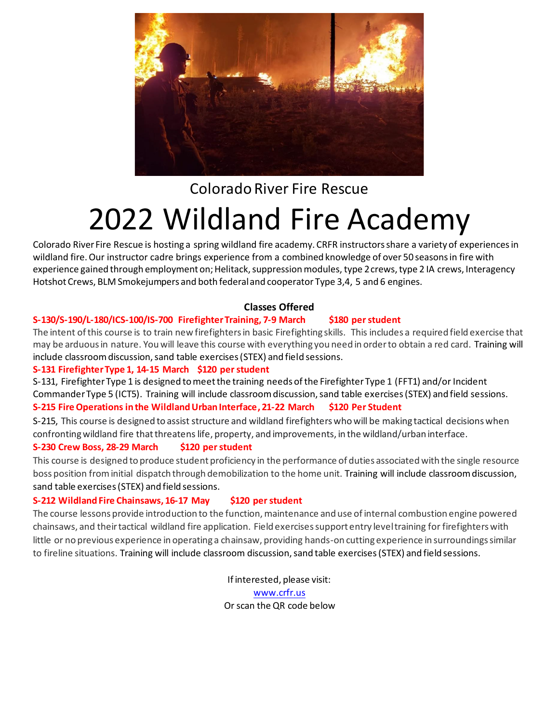

# Colorado River Fire Rescue 2022 Wildland Fire Academy

Colorado River Fire Rescue is hosting a spring wildland fire academy. CRFR instructors share a variety of experiences in wildland fire. Our instructor cadre brings experience from a combined knowledge of over 50 seasons in fire with experience gained through employment on; Helitack, suppression modules, type 2 crews, type 2 IA crews, Interagency Hotshot Crews, BLM Smokejumpers and both federal and cooperator Type 3,4, 5 and 6 engines.

# **Classes Offered**

# **S-130/S-190/L-180/ICS-100/IS-700 Firefighter Training, 7-9 March \$180 per student**

The intent of this course is to train new firefighters in basic Firefighting skills. This includes a required field exercise that may be arduous in nature. You will leave this course with everything you need in order to obtain a red card. Training will include classroom discussion, sand table exercises (STEX) and field sessions.

# **S-131 Firefighter Type 1, 14-15 March \$120 per student**

S-131, Firefighter Type 1 is designed to meet the training needs of the Firefighter Type 1 (FFT1) and/or Incident Commander Type 5 (ICT5). Training will include classroom discussion, sand table exercises (STEX) and field sessions. **S-215 Fire Operations in the Wildland Urban Interface, 21-22 March \$120 Per Student**

S-215, This course is designed to assist structure and wildland firefighters who will be making tactical decisions when confronting wildland fire that threatens life, property, and improvements, in the wildland/urban interface.

# **S-230 Crew Boss, 28-29 March \$120 per student**

This course is designed to produce student proficiency in the performance of duties associated with the single resource boss position from initial dispatch through demobilization to the home unit. Training will include classroom discussion, sand table exercises (STEX) and field sessions.

# **S-212 Wildland Fire Chainsaws, 16-17 May \$120 per student**

The course lessons provide introduction to the function, maintenance and use of internal combustion engine powered chainsaws, and their tactical wildland fire application. Field exercises support entry level training for firefighters with little or no previous experience in operating a chainsaw, providing hands-on cutting experience in surroundings similar to fireline situations. Training will include classroom discussion, sand table exercises (STEX) and field sessions.

> If interested, please visit: www.crfr.us

Or scan the QR code below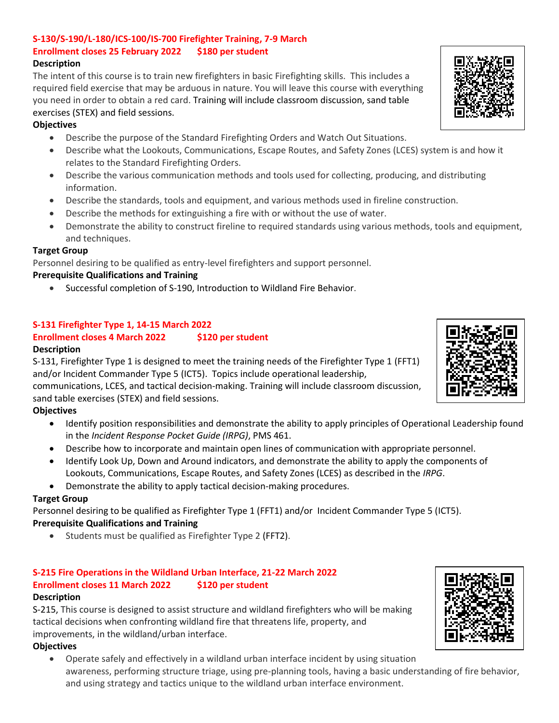# **S-130/S-190/L-180/ICS-100/IS-700 Firefighter Training, 7-9 March Enrollment closes 25 February 2022 \$180 per student**

#### **Description**

The intent of this course is to train new firefighters in basic Firefighting skills. This includes a required field exercise that may be arduous in nature. You will leave this course with everything you need in order to obtain a red card. Training will include classroom discussion, sand table exercises (STEX) and field sessions.

#### **Objectives**

- Describe the purpose of the Standard Firefighting Orders and Watch Out Situations.
- Describe what the Lookouts, Communications, Escape Routes, and Safety Zones (LCES) system is and how it relates to the Standard Firefighting Orders.
- Describe the various communication methods and tools used for collecting, producing, and distributing information.
- Describe the standards, tools and equipment, and various methods used in fireline construction.
- Describe the methods for extinguishing a fire with or without the use of water.
- Demonstrate the ability to construct fireline to required standards using various methods, tools and equipment, and techniques.

#### **Target Group**

Personnel desiring to be qualified as entry-level firefighters and support personnel.

#### **Prerequisite Qualifications and Training**

Successful completion of [S-190,](https://www.nwcg.gov/publications/training-courses/s-190) Introduction to Wildland Fire Behavior.

# **S-131 Firefighter Type 1, 14-15 March 2022**

# **Enrollment closes 4 March 2022 \$120 per student**

#### **Description**

S-131, Firefighter Type 1 is designed to meet the training needs of the Firefighter Type 1 [\(FFT1\)](https://www.nwcg.gov/positions/fft1) and/or Incident Commander Type 5 [\(ICT5\).](https://www.nwcg.gov/positions/ict5) Topics include [operational leadership,](https://www.nwcg.gov/wfldp)

communications[, LCES,](https://www.nwcg.gov/sites/default/files/wfldp/docs/lces-gleason.pdf) and [tactical decision-making.](https://www.nwcg.gov/wfldp/toolbox/tdgs) Training will include classroom discussion, sand table exercises (STEX) and field sessions.

# **Objectives**

- Identify position responsibilities and demonstrate the ability to apply principles of Operational Leadership found in the *Incident Response Pocket Guide (IRPG)*, [PMS 461.](https://www.nwcg.gov/publications/461)
- Describe how to incorporate and maintain open lines of communication with appropriate personnel.
- Identify Look Up, Down and Around indicators, and demonstrate the ability to apply the components of Lookouts, Communications, Escape Routes, and Safety Zones (LCES) as described in the *[IRPG](https://www.nwcg.gov/publications/461)*.
- Demonstrate the ability to apply tactical decision-making procedures.

#### **Target Group**

Personnel desiring to be qualified as Firefighter Type 1 [\(FFT1\)](https://www.nwcg.gov/positions/fft1) and/or Incident Commander Type 5 [\(ICT5\)](https://www.nwcg.gov/positions/ict5). **Prerequisite Qualifications and Training**

Students must be qualified as Firefighter Type 2 (FFT2).

# **S-215 Fire Operations in the Wildland Urban Interface, 21-22 March 2022 Enrollment closes 11 March 2022 \$120 per student**

#### **Description**

S-215, This course is designed to assist structure and wildland firefighters who will be making tactical decisions when confronting wildland fire that threatens life, property, and improvements, in the wildland/urban interface.

#### **Objectives**

 Operate safely and effectively in a wildland urban interface incident by using situation awareness, performing structure triage, using pre-planning tools, having a basic understanding of fire behavior, and using strategy and tactics unique to the wildland urban interface environment.